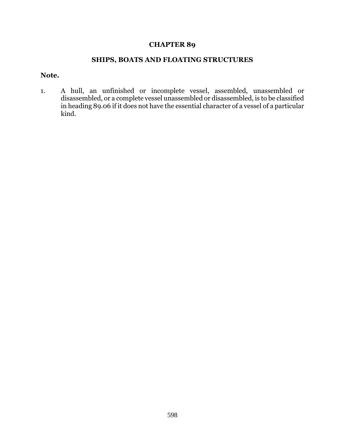## **CHAPTER 89**

## **SHIPS, BOATS AND FLOATING STRUCTURES**

## **Note.**

1. A hull, an unfinished or incomplete vessel, assembled, unassembled or disassembled, or a complete vessel unassembled or disassembled, is to be classified in heading 89.06 if it does not have the essential character of a vessel of a particular kind.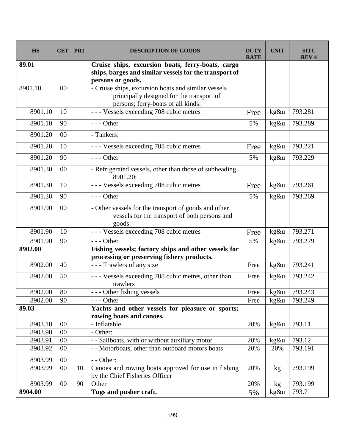| <b>HS</b> | <b>CET</b> | PR1 | <b>DESCRIPTION OF GOODS</b>                                                                                                            | <b>DUTY</b><br><b>RATE</b> | <b>UNIT</b> | <b>SITC</b><br><b>REV4</b> |
|-----------|------------|-----|----------------------------------------------------------------------------------------------------------------------------------------|----------------------------|-------------|----------------------------|
| 89.01     |            |     | Cruise ships, excursion boats, ferry-boats, cargo<br>ships, barges and similar vessels for the transport of<br>persons or goods.       |                            |             |                            |
| 8901.10   | 00         |     | - Cruise ships, excursion boats and similar vessels<br>principally designed for the transport of<br>persons; ferry-boats of all kinds: |                            |             |                            |
| 8901.10   | 10         |     | --- Vessels exceeding 708 cubic metres                                                                                                 | Free                       | kg&u        | 793.281                    |
| 8901.10   | 90         |     | $--$ Other                                                                                                                             | 5%                         | kg&u        | 793.289                    |
| 8901.20   | 00         |     | - Tankers:                                                                                                                             |                            |             |                            |
| 8901.20   | 10         |     | --- Vessels exceeding 708 cubic metres                                                                                                 | Free                       | kg&u        | 793.221                    |
| 8901.20   | 90         |     | $--$ Other                                                                                                                             | 5%                         | kg&u        | 793.229                    |
| 8901.30   | 00         |     | - Refrigerated vessels, other than those of subheading<br>8901.20:                                                                     |                            |             |                            |
| 8901.30   | 10         |     | --- Vessels exceeding 708 cubic metres                                                                                                 | Free                       | kg&u        | 793.261                    |
| 8901.30   | 90         |     | $--$ Other                                                                                                                             | 5%                         | kg&u        | 793.269                    |
| 8901.90   | 00         |     | - Other vessels for the transport of goods and other<br>vessels for the transport of both persons and<br>goods:                        |                            |             |                            |
| 8901.90   | 10         |     | --- Vessels exceeding 708 cubic metres                                                                                                 | Free                       | kg&u        | 793.271                    |
| 8901.90   | 90         |     | $--$ Other                                                                                                                             | 5%                         | kg&u        | 793.279                    |
| 8902.00   |            |     | Fishing vessels; factory ships and other vessels for<br>processing or preserving fishery products.                                     |                            |             |                            |
| 8902.00   | 40         |     | - - - Trawlers of any size                                                                                                             | Free                       | kg&u        | 793.241                    |
| 8902.00   | 50         |     | - - - Vessels exceeding 708 cubic metres, other than<br>trawlers                                                                       | Free                       | kg&u        | 793.242                    |
| 8902.00   | 80         |     | --- Other fishing vessels                                                                                                              | Free                       | kg&u        | 793.243                    |
| 8902.00   | 90         |     | $--$ Other                                                                                                                             | Free                       | kg&u        | 793.249                    |
| 89.03     |            |     | Yachts and other vessels for pleasure or sports;<br>rowing boats and canoes.                                                           |                            |             |                            |
| 8903.10   | 00         |     | - Inflatable                                                                                                                           | 20%                        | kg&u        | 793.11                     |
| 8903.90   | 00         |     | - Other:                                                                                                                               |                            |             |                            |
| 8903.91   | 00         |     | - - Sailboats, with or without auxiliary motor                                                                                         | 20%                        | kg&u        | 793.12                     |
| 8903.92   | 00         |     | - - Motorboats, other than outboard motors boats                                                                                       | 20%                        | 20%         | 793.191                    |
| 8903.99   | 00         |     | - - Other:                                                                                                                             |                            |             |                            |
| 8903.99   | 00         | 10  | Canoes and rowing boats approved for use in fishing<br>by the Chief Fisheries Officer                                                  | 20%                        | kg          | 793.199                    |
| 8903.99   | 00         | 90  | Other                                                                                                                                  | 20%                        | kg          | 793.199                    |
| 8904.00   |            |     | Tugs and pusher craft.                                                                                                                 | 5%                         | kg&u        | 793.7                      |